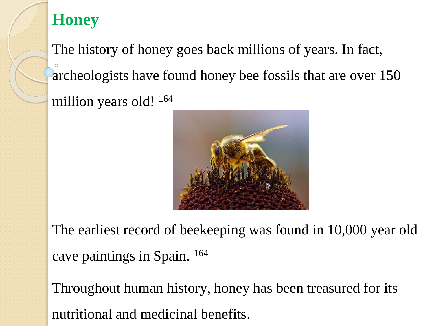## **Honey**

The history of honey goes back millions of years. In fact, archeologists have found honey bee fossils that are over 150 million years old! <sup>164</sup>



The earliest record of beekeeping was found in 10,000 year old cave paintings in Spain. <sup>164</sup>

Throughout human history, honey has been treasured for its nutritional and medicinal benefits.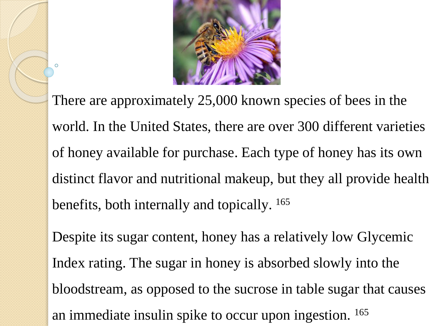

There are approximately 25,000 known species of bees in the world. In the United States, there are over 300 different varieties of honey available for purchase. Each type of honey has its own distinct flavor and nutritional makeup, but they all provide health benefits, both internally and topically. <sup>165</sup>

Despite its sugar content, honey has a relatively low Glycemic Index rating. The sugar in honey is absorbed slowly into the bloodstream, as opposed to the sucrose in table sugar that causes an immediate insulin spike to occur upon ingestion. 165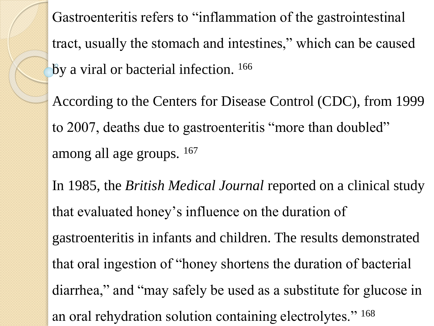Gastroenteritis refers to "inflammation of the gastrointestinal tract, usually the stomach and intestines," which can be caused by a viral or bacterial infection. <sup>166</sup>

According to the Centers for Disease Control (CDC), from 1999 to 2007, deaths due to gastroenteritis "more than doubled" among all age groups.  $167$ 

In 1985, the *British Medical Journal* reported on a clinical study that evaluated honey's influence on the duration of gastroenteritis in infants and children. The results demonstrated that oral ingestion of "honey shortens the duration of bacterial diarrhea," and "may safely be used as a substitute for glucose in an oral rehydration solution containing electrolytes." 168